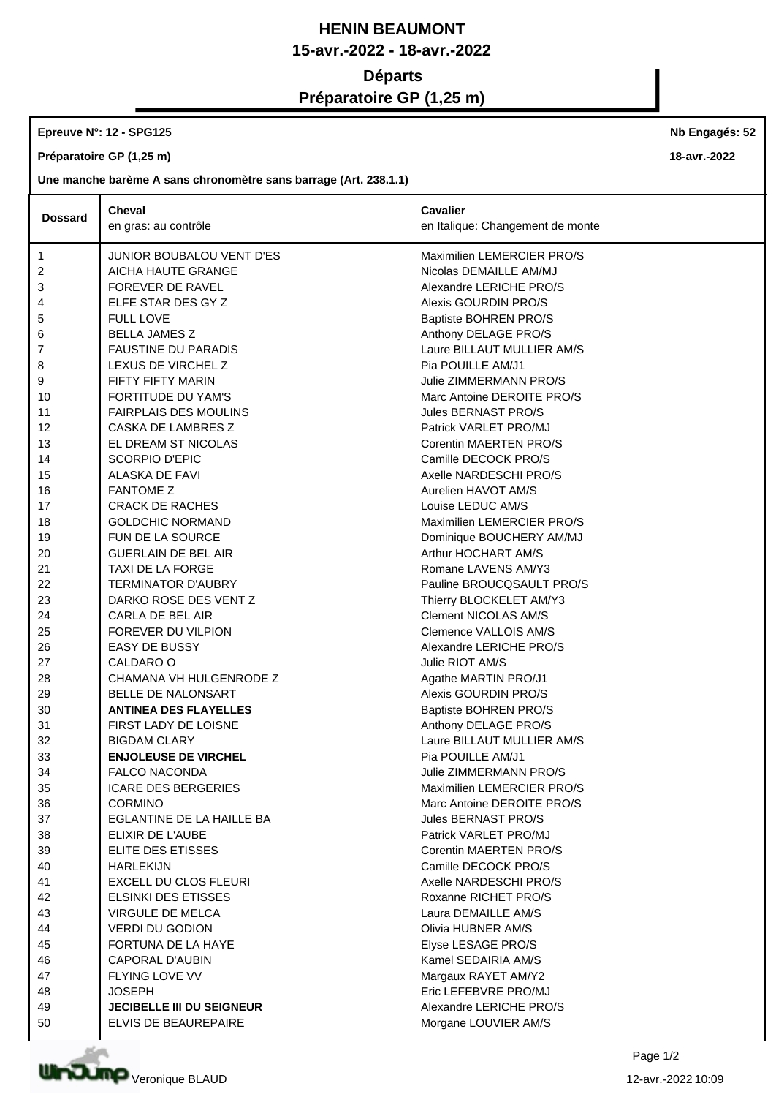## **HENIN BEAUMONT 15-avr.-2022 - 18-avr.-2022 Départs Préparatoire GP (1,25 m)**

## **Epreuve N°: 12 - SPG125**

**Préparatoire GP (1,25 m)**

**Une manche barème A sans chronomètre sans barrage (Art. 238.1.1)**

|                | <b>Cheval</b>                    | Cavalier                         |
|----------------|----------------------------------|----------------------------------|
| <b>Dossard</b> | en gras: au contrôle             | en Italique: Changement de monte |
|                |                                  |                                  |
| $\mathbf{1}$   | JUNIOR BOUBALOU VENT D'ES        | Maximilien LEMERCIER PRO/S       |
| 2              | AICHA HAUTE GRANGE               | Nicolas DEMAILLE AM/MJ           |
| 3              | FOREVER DE RAVEL                 | Alexandre LERICHE PRO/S          |
| 4              | ELFE STAR DES GY Z               | Alexis GOURDIN PRO/S             |
| 5              | <b>FULL LOVE</b>                 | Baptiste BOHREN PRO/S            |
| 6              | <b>BELLA JAMES Z</b>             | Anthony DELAGE PRO/S             |
| 7              | <b>FAUSTINE DU PARADIS</b>       | Laure BILLAUT MULLIER AM/S       |
| 8              | LEXUS DE VIRCHEL Z               | Pia POUILLE AM/J1                |
| 9              | FIFTY FIFTY MARIN                | Julie ZIMMERMANN PRO/S           |
| 10             | <b>FORTITUDE DU YAM'S</b>        | Marc Antoine DEROITE PRO/S       |
| 11             | <b>FAIRPLAIS DES MOULINS</b>     | Jules BERNAST PRO/S              |
| 12             | CASKA DE LAMBRES Z               | Patrick VARLET PRO/MJ            |
| 13             | EL DREAM ST NICOLAS              | Corentin MAERTEN PRO/S           |
| 14             | <b>SCORPIO D'EPIC</b>            | Camille DECOCK PRO/S             |
| 15             | ALASKA DE FAVI                   | Axelle NARDESCHI PRO/S           |
| 16             | <b>FANTOME Z</b>                 | Aurelien HAVOT AM/S              |
| 17             | <b>CRACK DE RACHES</b>           | Louise LEDUC AM/S                |
| 18             | <b>GOLDCHIC NORMAND</b>          | Maximilien LEMERCIER PRO/S       |
| 19             | <b>FUN DE LA SOURCE</b>          | Dominique BOUCHERY AM/MJ         |
| 20             | <b>GUERLAIN DE BEL AIR</b>       | Arthur HOCHART AM/S              |
| 21             | TAXI DE LA FORGE                 | Romane LAVENS AM/Y3              |
| 22             | <b>TERMINATOR D'AUBRY</b>        | Pauline BROUCQSAULT PRO/S        |
| 23             | DARKO ROSE DES VENT Z            | Thierry BLOCKELET AM/Y3          |
| 24             | CARLA DE BEL AIR                 | <b>Clement NICOLAS AM/S</b>      |
| 25             | FOREVER DU VILPION               | Clemence VALLOIS AM/S            |
| 26             | <b>EASY DE BUSSY</b>             | Alexandre LERICHE PRO/S          |
| 27             | CALDARO O                        | Julie RIOT AM/S                  |
| 28             | CHAMANA VH HULGENRODE Z          | Agathe MARTIN PRO/J1             |
| 29             | BELLE DE NALONSART               | Alexis GOURDIN PRO/S             |
| 30             | <b>ANTINEA DES FLAYELLES</b>     | Baptiste BOHREN PRO/S            |
| 31             | FIRST LADY DE LOISNE             | Anthony DELAGE PRO/S             |
| 32             | <b>BIGDAM CLARY</b>              | Laure BILLAUT MULLIER AM/S       |
| 33             | <b>ENJOLEUSE DE VIRCHEL</b>      | Pia POUILLE AM/J1                |
| 34             | <b>FALCO NACONDA</b>             | <b>Julie ZIMMERMANN PRO/S</b>    |
| 35             | <b>ICARE DES BERGERIES</b>       | Maximilien LEMERCIER PRO/S       |
| 36             | <b>CORMINO</b>                   | Marc Antoine DEROITE PRO/S       |
| 37             | EGLANTINE DE LA HAILLE BA        | Jules BERNAST PRO/S              |
| 38             | ELIXIR DE L'AUBE                 | Patrick VARLET PRO/MJ            |
| 39             | ELITE DES ETISSES                | Corentin MAERTEN PRO/S           |
| 40             | <b>HARLEKIJN</b>                 | Camille DECOCK PRO/S             |
| 41             | EXCELL DU CLOS FLEURI            | Axelle NARDESCHI PRO/S           |
| 42             | <b>ELSINKI DES ETISSES</b>       | Roxanne RICHET PRO/S             |
| 43             | VIRGULE DE MELCA                 | Laura DEMAILLE AM/S              |
| 44             | <b>VERDI DU GODION</b>           | Olivia HUBNER AM/S               |
|                | FORTUNA DE LA HAYE               |                                  |
| 45             |                                  | Elyse LESAGE PRO/S               |
| 46             | <b>CAPORAL D'AUBIN</b>           | Kamel SEDAIRIA AM/S              |
| 47             | FLYING LOVE VV                   | Margaux RAYET AM/Y2              |
| 48             | <b>JOSEPH</b>                    | Eric LEFEBVRE PRO/MJ             |
| 49             | <b>JECIBELLE III DU SEIGNEUR</b> | Alexandre LERICHE PRO/S          |
| 50             | ELVIS DE BEAUREPAIRE             | Morgane LOUVIER AM/S             |



**Nb Engagés: 52**

**18-avr.-2022**